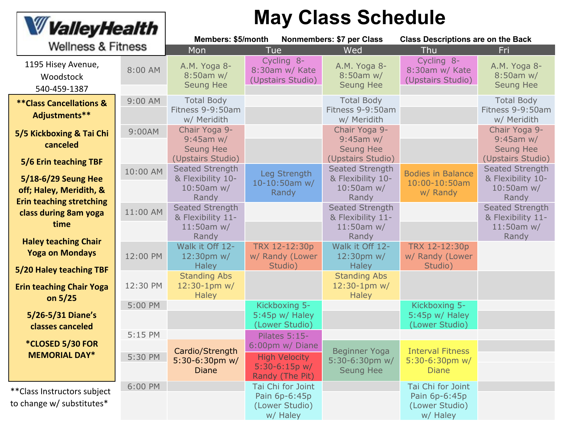| <b>W</b> Valley Health<br><b>Wellness &amp; Fitness</b>                 |                    | <b>May Class Schedule</b><br>Members: \$5/month<br>Nonmembers: \$7 per Class<br><b>Class Descriptions are on the Back</b> |                                                                                                       |                                                                                            |                                                                  |                                                                                  |  |
|-------------------------------------------------------------------------|--------------------|---------------------------------------------------------------------------------------------------------------------------|-------------------------------------------------------------------------------------------------------|--------------------------------------------------------------------------------------------|------------------------------------------------------------------|----------------------------------------------------------------------------------|--|
|                                                                         |                    | Mon                                                                                                                       | <b>Tue</b>                                                                                            | Wed                                                                                        | Thu                                                              | Fri                                                                              |  |
| 1195 Hisey Avenue,<br>Woodstock<br>540-459-1387                         | 8:00 AM            | A.M. Yoga 8-<br>8:50am w/<br><b>Seung Hee</b>                                                                             | Cycling 8-<br>8:30am w/ Kate<br>(Upstairs Studio)                                                     | A.M. Yoga 8-<br>$8:50am$ w/<br><b>Seung Hee</b>                                            | Cycling 8-<br>8:30am w/ Kate<br>(Upstairs Studio)                | A.M. Yoga 8-<br>8:50am w/<br><b>Seung Hee</b>                                    |  |
| <b>**Class Cancellations &amp;</b><br>Adjustments**                     | $9:00$ AM          | <b>Total Body</b><br>Fitness 9-9:50am<br>w/ Meridith                                                                      |                                                                                                       | <b>Total Body</b><br>Fitness 9-9:50am<br>w/ Meridith                                       |                                                                  | <b>Total Body</b><br>Fitness 9-9:50am<br>w/ Meridith                             |  |
| 5/5 Kickboxing & Tai Chi<br>canceled                                    | 9:00AM             | Chair Yoga 9-<br>$9:45$ am w/<br><b>Seung Hee</b>                                                                         |                                                                                                       | Chair Yoga 9-<br>$9:45$ am w/<br><b>Seung Hee</b>                                          |                                                                  | Chair Yoga 9-<br>$9:45$ am w/<br>Seung Hee                                       |  |
| 5/6 Erin teaching TBF<br>5/18-6/29 Seung Hee<br>off; Haley, Meridith, & | 10:00 AM           | (Upstairs Studio)<br><b>Seated Strength</b><br>& Flexibility 10-<br>$10:50$ am w/<br>Randy                                | Leg Strength<br>$10 - 10:50$ am w/<br>Randy                                                           | (Upstairs Studio)<br><b>Seated Strength</b><br>& Flexibility 10-<br>$10:50$ am w/<br>Randy | <b>Bodies in Balance</b><br>10:00-10:50am<br>w/ Randy            | (Upstairs Studio)<br>Seated Strength<br>& Flexibility 10-<br>10:50am w/<br>Randy |  |
| <b>Erin teaching stretching</b><br>class during 8am yoga<br>time        | 11:00 AM           | <b>Seated Strength</b><br>& Flexibility 11-<br>$11:50am$ w/<br>Randy                                                      |                                                                                                       | <b>Seated Strength</b><br>& Flexibility 11-<br>$11:50am$ w/<br>Randy                       |                                                                  | Seated Strength<br>& Flexibility 11-<br>$11:50am$ w/<br>Randy                    |  |
| <b>Haley teaching Chair</b><br><b>Yoga on Mondays</b>                   | 12:00 PM           | Walk it Off 12-<br>$12:30$ pm w/<br><b>Haley</b>                                                                          | TRX 12-12:30p<br>w/ Randy (Lower<br>Studio)                                                           | Walk it Off 12-<br>$12:30 \text{pm}$ w/<br><b>Haley</b>                                    | TRX 12-12:30p<br>w/ Randy (Lower<br>Studio)                      |                                                                                  |  |
| 5/20 Haley teaching TBF<br><b>Erin teaching Chair Yoga</b><br>on $5/25$ | 12:30 PM           | <b>Standing Abs</b><br>$12:30-1$ pm w/<br><b>Haley</b>                                                                    |                                                                                                       | <b>Standing Abs</b><br>$12:30-1$ pm w/<br><b>Haley</b>                                     |                                                                  |                                                                                  |  |
| 5/26-5/31 Diane's<br>classes canceled                                   | 5:00 PM            |                                                                                                                           | Kickboxing 5-<br>$5:45p w/$ Haley<br>(Lower Studio)                                                   |                                                                                            | Kickboxing 5-<br>5:45p w/ Haley<br>(Lower Studio)                |                                                                                  |  |
| *CLOSED 5/30 FOR<br><b>MEMORIAL DAY*</b>                                | 5:15 PM<br>5:30 PM | Cardio/Strength<br>5:30-6:30pm $w/$<br><b>Diane</b>                                                                       | <b>Pilates 5:15-</b><br>6:00pm w/ Diane<br><b>High Velocity</b><br>$5:30-6:15p$ w/<br>Randy (The Pit) | <b>Beginner Yoga</b><br>5:30-6:30pm w/<br><b>Seung Hee</b>                                 | <b>Interval Fitness</b><br>$5:30-6:30$ pm w/<br><b>Diane</b>     |                                                                                  |  |
| ** Class Instructors subject<br>to change w/ substitutes*               | 6:00 PM            |                                                                                                                           | Tai Chi for Joint<br>Pain 6p-6:45p<br>(Lower Studio)<br>w/ Haley                                      |                                                                                            | Tai Chi for Joint<br>Pain 6p-6:45p<br>(Lower Studio)<br>w/ Haley |                                                                                  |  |